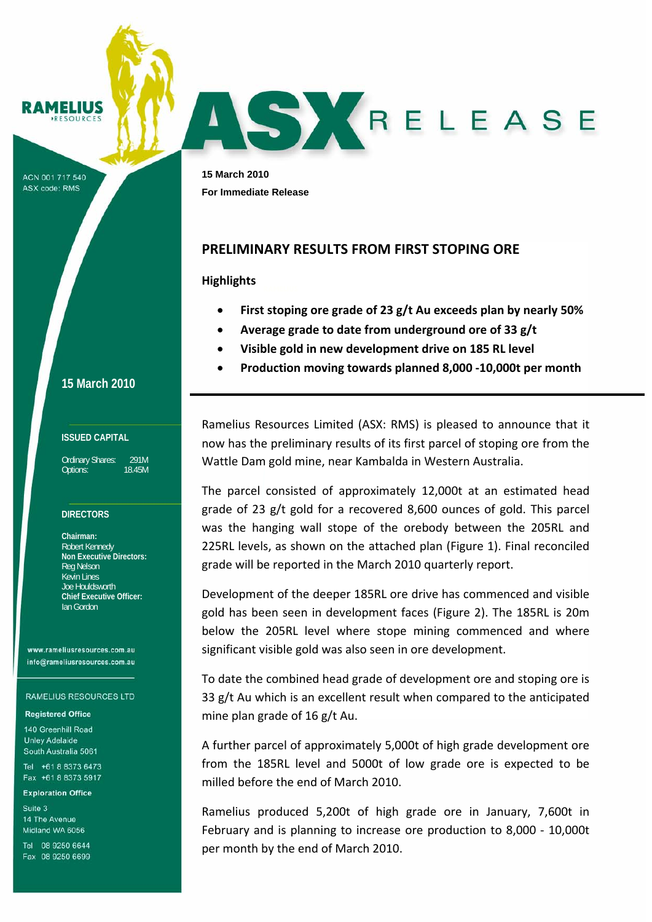MELIUS

ACN 001 717 540 **ASX code: RMS** 

**15 March 2010**

#### **ISSUED CAPITAL**

Ordinary Shares: 291M Options: 18.45M

## **DIRECTORS**

**Chairman:**  Robert Kennedy **Non Executive Directors:**  Reg Nelson Kevin Lines Joe Houldsworth **Chief Executive Officer:**  Ian Gordon

www.rameliusresources.com.au info@rameliusresources.com.au

#### **RAMELIUS RESOURCES LTD**

#### **Registered Office**

140 Greenhill Road **Unley Adelaide** South Australia 5061

Tel +61 8 8373 6473 Fax +61 8 8373 5917

### **Exploration Office**

Suite 3 14 The Avenue Midland WA 6056

Tel 08 9250 6644 Fax 08 9250 6699

**15 March 2010 For Immediate Release** 

# **PRELIMINARY RESULTS FROM FIRST STOPING ORE**

## **Highlights**

• **First stoping ore grade of 23 g/t Au exceeds plan by nearly 50%**

ASYRELEASE

- **Average grade to date from underground ore of 33 g/t**
- **Visible gold in new development drive on 185 RL level**
- **Production moving towards planned 8,000 ‐10,000t per month**

Ramelius Resources Limited (ASX: RMS) is pleased to announce that it now has the preliminary results of its first parcel of stoping ore from the Wattle Dam gold mine, near Kambalda in Western Australia.

The parcel consisted of approximately 12,000t at an estimated head grade of 23 g/t gold for a recovered 8,600 ounces of gold. This parcel was the hanging wall stope of the orebody between the 205RL and 225RL levels, as shown on the attached plan (Figure 1). Final reconciled grade will be reported in the March 2010 quarterly report.

Development of the deeper 185RL ore drive has commenced and visible gold has been seen in development faces (Figure 2). The 185RL is 20m below the 205RL level where stope mining commenced and where significant visible gold was also seen in ore development.

To date the combined head grade of development ore and stoping ore is 33 g/t Au which is an excellent result when compared to the anticipated mine plan grade of 16 g/t Au.

A further parcel of approximately 5,000t of high grade development ore from the 185RL level and 5000t of low grade ore is expected to be milled before the end of March 2010.

Ramelius produced 5,200t of high grade ore in January, 7,600t in February and is planning to increase ore production to 8,000 - 10,000t per month by the end of March 2010.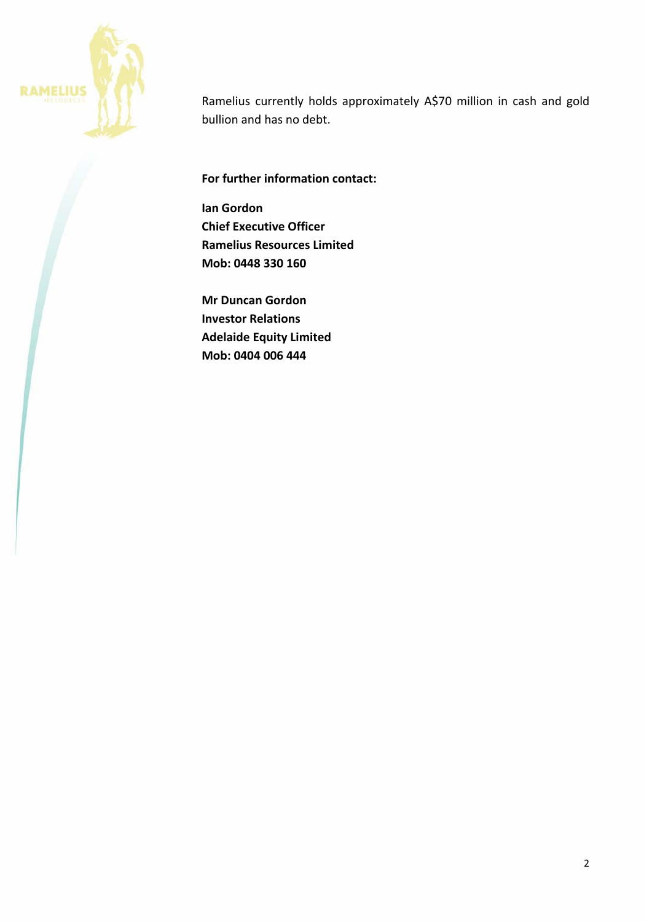

Ramelius currently holds approximately A\$70 million in cash and gold bullion and has no debt.

**For further information contact:**

**Ian Gordon Chief Executive Officer Ramelius Resources Limited Mob: 0448 330 160**

**Mr Duncan Gordon Investor Relations Adelaide Equity Limited Mob: 0404 006 444**